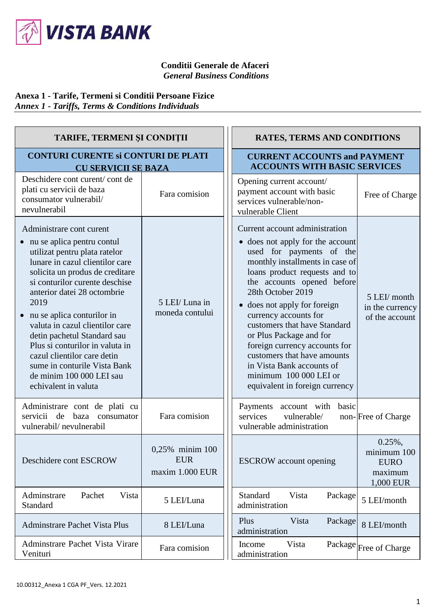

## **Conditii Generale de Afaceri** *General Business Conditions*

## **Anexa 1 - Tarife, Termeni si Conditii Persoane Fizice** *Annex 1 - Tariffs, Terms & Conditions Individuals*

| <b>TARIFE, TERMENI ȘI CONDIȚII</b>                                                                                                                                                                                                                                                                                                                                                                                                                                                             |                                                  | <b>RATES, TERMS AND CONDITIONS</b>                                                                                                                                                                                                                                                                                                                                                                                                                                                                                                                      |
|------------------------------------------------------------------------------------------------------------------------------------------------------------------------------------------------------------------------------------------------------------------------------------------------------------------------------------------------------------------------------------------------------------------------------------------------------------------------------------------------|--------------------------------------------------|---------------------------------------------------------------------------------------------------------------------------------------------------------------------------------------------------------------------------------------------------------------------------------------------------------------------------------------------------------------------------------------------------------------------------------------------------------------------------------------------------------------------------------------------------------|
| <b>CONTURI CURENTE Si CONTURI DE PLATI</b><br><b>CU SERVICII SE BAZA</b>                                                                                                                                                                                                                                                                                                                                                                                                                       |                                                  | <b>CURRENT ACCOUNTS and PAYMENT</b><br><b>ACCOUNTS WITH BASIC SERVICES</b>                                                                                                                                                                                                                                                                                                                                                                                                                                                                              |
| Deschidere cont curent/cont de<br>plati cu servicii de baza<br>consumator vulnerabil/<br>nevulnerabil                                                                                                                                                                                                                                                                                                                                                                                          | Fara comision                                    | Opening current account/<br>payment account with basic<br>Free of Charge<br>services vulnerable/non-<br>vulnerable Client                                                                                                                                                                                                                                                                                                                                                                                                                               |
| Administrare cont curent<br>• nu se aplica pentru contul<br>utilizat pentru plata ratelor<br>lunare in cazul clientilor care<br>solicita un produs de creditare<br>si conturilor curente deschise<br>anterior datei 28 octombrie<br>2019<br>nu se aplica conturilor in<br>valuta in cazul clientilor care<br>detin pachetul Standard sau<br>Plus si conturilor in valuta in<br>cazul clientilor care detin<br>sume in conturile Vista Bank<br>de minim 100 000 LEI sau<br>echivalent in valuta | 5 LEI/ Luna in<br>moneda contului                | Current account administration<br>• does not apply for the account<br>used for payments of the<br>monthly installments in case of<br>loans product requests and to<br>the accounts opened before<br>28th October 2019<br>5 LEI/ month<br>• does not apply for foreign<br>in the currency<br>currency accounts for<br>of the account<br>customers that have Standard<br>or Plus Package and for<br>foreign currency accounts for<br>customers that have amounts<br>in Vista Bank accounts of<br>minimum 100 000 LEI or<br>equivalent in foreign currency |
| Administrare cont de plati cu<br>servicii de<br>baza consumator<br>vulnerabil/nevulnerabil                                                                                                                                                                                                                                                                                                                                                                                                     | Fara comision                                    | Payments account with<br>basic<br>services<br>vulnerable/<br>non-Free of Charge<br>vulnerable administration                                                                                                                                                                                                                                                                                                                                                                                                                                            |
| Deschidere cont ESCROW                                                                                                                                                                                                                                                                                                                                                                                                                                                                         | 0,25% minim 100<br><b>EUR</b><br>maxim 1.000 EUR | $0.25\%,$<br>minimum 100<br><b>ESCROW</b> account opening<br><b>EURO</b><br>maximum<br>1,000 EUR                                                                                                                                                                                                                                                                                                                                                                                                                                                        |
| Adminstrare<br>Pachet<br>Vista<br>Standard                                                                                                                                                                                                                                                                                                                                                                                                                                                     | 5 LEI/Luna                                       | Standard<br>Vista<br>Package<br>5 LEI/month<br>administration                                                                                                                                                                                                                                                                                                                                                                                                                                                                                           |
| <b>Adminstrare Pachet Vista Plus</b>                                                                                                                                                                                                                                                                                                                                                                                                                                                           | 8 LEI/Luna                                       | Vista<br>Plus<br>Package<br>8 LEI/month<br>administration                                                                                                                                                                                                                                                                                                                                                                                                                                                                                               |
| Adminstrare Pachet Vista Virare<br>Venituri                                                                                                                                                                                                                                                                                                                                                                                                                                                    | Fara comision                                    | Vista<br>Package Free of Charge<br>Income<br>administration                                                                                                                                                                                                                                                                                                                                                                                                                                                                                             |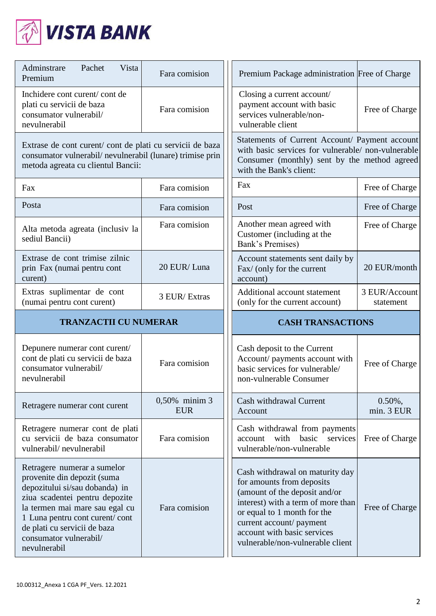

| Adminstrare<br>Vista<br>Pachet<br>Premium                                                                                                                  | Fara comision               | Premium Package administration Free of Charge                                                                                                                                   |                            |
|------------------------------------------------------------------------------------------------------------------------------------------------------------|-----------------------------|---------------------------------------------------------------------------------------------------------------------------------------------------------------------------------|----------------------------|
| Inchidere cont curent/cont de<br>plati cu servicii de baza<br>consumator vulnerabil/<br>nevulnerabil                                                       | Fara comision               | Closing a current account/<br>payment account with basic<br>services vulnerable/non-<br>vulnerable client                                                                       | Free of Charge             |
| Extrase de cont curent/cont de plati cu servicii de baza<br>consumator vulnerabil/nevulnerabil (lunare) trimise prin<br>metoda agreata cu clientul Bancii: |                             | Statements of Current Account/ Payment account<br>with basic services for vulnerable/ non-vulnerable<br>Consumer (monthly) sent by the method agreed<br>with the Bank's client: |                            |
| Fax                                                                                                                                                        | Fara comision               | Fax                                                                                                                                                                             | Free of Charge             |
| Posta                                                                                                                                                      | Fara comision               | Post                                                                                                                                                                            | Free of Charge             |
| Alta metoda agreata (inclusiv la<br>sediul Bancii)                                                                                                         | Fara comision               | Another mean agreed with<br>Customer (including at the<br>Bank's Premises)                                                                                                      | Free of Charge             |
| Extrase de cont trimise zilnic<br>prin Fax (numai pentru cont<br>curent)                                                                                   | 20 EUR/Luna                 | Account statements sent daily by<br>Fax/ (only for the current<br>account)                                                                                                      | 20 EUR/month               |
| Extras suplimentar de cont<br>(numai pentru cont curent)                                                                                                   | 3 EUR/Extras                | Additional account statement<br>(only for the current account)                                                                                                                  | 3 EUR/Account<br>statement |
|                                                                                                                                                            |                             |                                                                                                                                                                                 |                            |
| <b>TRANZACTII CU NUMERAR</b>                                                                                                                               |                             | <b>CASH TRANSACTIONS</b>                                                                                                                                                        |                            |
| Depunere numerar cont curent/<br>cont de plati cu servicii de baza<br>consumator vulnerabil/<br>nevulnerabil                                               | Fara comision               | Cash deposit to the Current<br>Account/ payments account with<br>basic services for vulnerable/<br>non-vulnerable Consumer                                                      | Free of Charge             |
| Retragere numerar cont curent                                                                                                                              | 0,50% minim 3<br><b>EUR</b> | Cash withdrawal Current<br>Account                                                                                                                                              | $0.50\%$ ,<br>min. 3 EUR   |
| Retragere numerar cont de plati<br>cu servicii de baza consumator<br>vulnerabil/nevulnerabil                                                               | Fara comision               | Cash withdrawal from payments<br>with<br>basic services<br>account<br>vulnerable/non-vulnerable                                                                                 | Free of Charge             |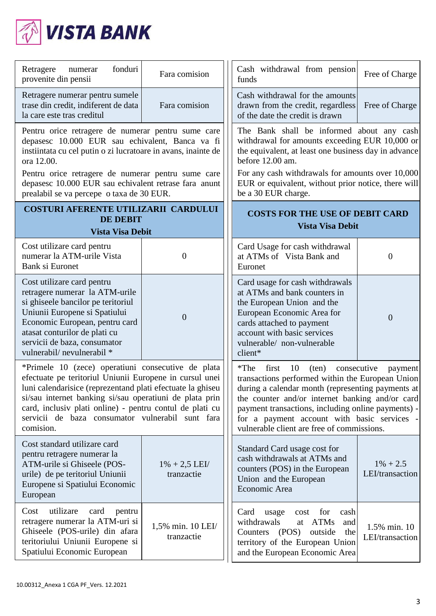

| fonduri<br>Retragere<br>numerar<br>provenite din pensii                                                                                                                                                                                                                                                                                                             | Fara comision                   | Cash withdrawal from pension<br>funds                                                                                                                                                                                                                                                                                                                                  | Free of Charge                  |
|---------------------------------------------------------------------------------------------------------------------------------------------------------------------------------------------------------------------------------------------------------------------------------------------------------------------------------------------------------------------|---------------------------------|------------------------------------------------------------------------------------------------------------------------------------------------------------------------------------------------------------------------------------------------------------------------------------------------------------------------------------------------------------------------|---------------------------------|
| Retragere numerar pentru sumele<br>trase din credit, indiferent de data<br>la care este tras creditul                                                                                                                                                                                                                                                               | Fara comision                   | Cash withdrawal for the amounts<br>drawn from the credit, regardless<br>of the date the credit is drawn                                                                                                                                                                                                                                                                | Free of Charge                  |
| Pentru orice retragere de numerar pentru sume care<br>depasesc 10.000 EUR sau echivalent, Banca va fi<br>instiintata cu cel putin o zi lucratoare in avans, inainte de<br>ora 12.00.                                                                                                                                                                                |                                 | The Bank shall be informed about any cash<br>withdrawal for amounts exceeding EUR 10,000 or<br>the equivalent, at least one business day in advance<br>before 12.00 am.                                                                                                                                                                                                |                                 |
| Pentru orice retragere de numerar pentru sume care<br>depasesc 10.000 EUR sau echivalent retrase fara anunt<br>prealabil se va percepe o taxa de 30 EUR.                                                                                                                                                                                                            |                                 | For any cash withdrawals for amounts over 10,000<br>EUR or equivalent, without prior notice, there will<br>be a 30 EUR charge.                                                                                                                                                                                                                                         |                                 |
| <b>COSTURI AFERENTE UTILIZARII CARDULUI</b><br><b>DE DEBIT</b><br><b>Vista Visa Debit</b>                                                                                                                                                                                                                                                                           |                                 | <b>COSTS FOR THE USE OF DEBIT CARD</b><br><b>Vista Visa Debit</b>                                                                                                                                                                                                                                                                                                      |                                 |
| Cost utilizare card pentru<br>numerar la ATM-urile Vista<br>Bank si Euronet                                                                                                                                                                                                                                                                                         | $\theta$                        | Card Usage for cash withdrawal<br>at ATMs of Vista Bank and<br>Euronet                                                                                                                                                                                                                                                                                                 | $\overline{0}$                  |
| Cost utilizare card pentru<br>retragere numerar la ATM-urile<br>si ghiseele bancilor pe teritoriul<br>Uniunii Europene si Spatiului<br>Economic European, pentru card<br>atasat conturilor de plati cu<br>servicii de baza, consumator<br>vulnerabil/nevulnerabil *                                                                                                 | $\overline{0}$                  | Card usage for cash withdrawals<br>at ATMs and bank counters in<br>the European Union and the<br>European Economic Area for<br>cards attached to payment<br>account with basic services<br>vulnerable/ non-vulnerable<br>client*                                                                                                                                       | $\overline{0}$                  |
| *Primele 10 (zece) operatiuni consecutive de plata<br>efectuate pe teritoriul Uniunii Europene in cursul unei<br>luni calendarisice (reprezentand plati efectuate la ghiseu<br>si/sau internet banking si/sau operatiuni de plata prin<br>card, inclusiv plati online) - pentru contul de plati cu<br>servicii de baza consumator vulnerabil sunt fara<br>comision. |                                 | $*$ The<br>10<br>consecutive<br>first<br>$(\text{ten})$<br>transactions performed within the European Union<br>during a calendar month (representing payments at<br>the counter and/or internet banking and/or card<br>payment transactions, including online payments) -<br>for a payment account with basic services -<br>vulnerable client are free of commissions. | payment                         |
| Cost standard utilizare card<br>pentru retragere numerar la<br>ATM-urile si Ghiseele (POS-<br>urile) de pe teritoriul Uniunii<br>Europene si Spatiului Economic<br>European                                                                                                                                                                                         | $1\% + 2.5$ LEI/<br>tranzactie  | Standard Card usage cost for<br>cash withdrawals at ATMs and<br>counters (POS) in the European<br>Union and the European<br>Economic Area                                                                                                                                                                                                                              | $1\% + 2.5$<br>LEI/transaction  |
| utilizare<br>card<br>Cost<br>pentru<br>retragere numerar la ATM-uri si<br>Ghiseele (POS-urile) din afara<br>teritoriului Uniunii Europene si<br>Spatiului Economic European                                                                                                                                                                                         | 1,5% min. 10 LEI/<br>tranzactie | Card<br>usage<br>for<br>cash<br>cost<br>withdrawals<br>at ATMs<br>and<br>(POS)<br>outside<br>Counters<br>the<br>territory of the European Union<br>and the European Economic Area                                                                                                                                                                                      | 1.5% min. 10<br>LEI/transaction |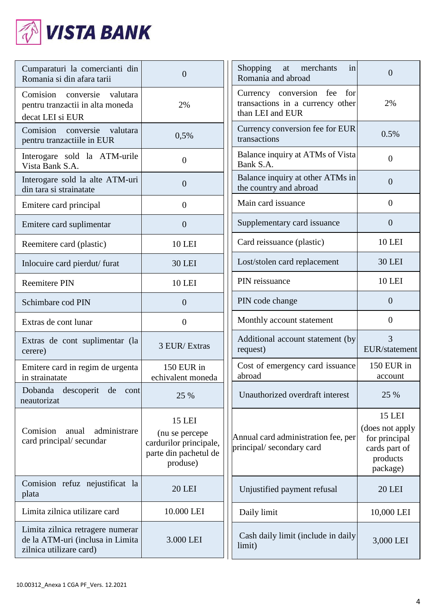

| Cumparaturi la comercianti din<br>Romania si din afara tarii                           | $\overline{0}$                                                                                 | Shopping<br>at merchants<br>in<br>Romania and abroad                                | $\Omega$                                                                                   |
|----------------------------------------------------------------------------------------|------------------------------------------------------------------------------------------------|-------------------------------------------------------------------------------------|--------------------------------------------------------------------------------------------|
| conversie valutara<br>Comision<br>pentru tranzactii in alta moneda<br>decat LEI si EUR | 2%                                                                                             | Currency conversion fee for<br>transactions in a currency other<br>than LEI and EUR | 2%                                                                                         |
| Comision<br>conversie valutara<br>pentru tranzactiile in EUR                           | 0,5%                                                                                           | Currency conversion fee for EUR<br>transactions                                     | 0.5%                                                                                       |
| Interogare sold la ATM-urile<br>Vista Bank S.A.                                        | $\overline{0}$                                                                                 | Balance inquiry at ATMs of Vista<br>Bank S.A.                                       | $\overline{0}$                                                                             |
| Interogare sold la alte ATM-uri<br>din tara si strainatate                             | $\overline{0}$                                                                                 | Balance inquiry at other ATMs in<br>the country and abroad                          | $\overline{0}$                                                                             |
| Emitere card principal                                                                 | $\overline{0}$                                                                                 | Main card issuance                                                                  | $\overline{0}$                                                                             |
| Emitere card suplimentar                                                               | $\overline{0}$                                                                                 | Supplementary card issuance                                                         | $\overline{0}$                                                                             |
| Reemitere card (plastic)                                                               | <b>10 LEI</b>                                                                                  | Card reissuance (plastic)                                                           | <b>10 LEI</b>                                                                              |
| Inlocuire card pierdut/furat                                                           | <b>30 LEI</b>                                                                                  | Lost/stolen card replacement                                                        | <b>30 LEI</b>                                                                              |
| <b>Reemitere PIN</b>                                                                   | <b>10 LEI</b>                                                                                  | PIN reissuance                                                                      | <b>10 LEI</b>                                                                              |
| Schimbare cod PIN                                                                      | $\overline{0}$                                                                                 | PIN code change                                                                     | $\overline{0}$                                                                             |
| Extras de cont lunar                                                                   | $\boldsymbol{0}$                                                                               | Monthly account statement                                                           | $\overline{0}$                                                                             |
| Extras de cont suplimentar (la<br>cerere)                                              | 3 EUR/Extras                                                                                   | Additional account statement (by<br>request)                                        | 3<br>EUR/statement                                                                         |
| Emitere card in regim de urgenta<br>in strainatate                                     | 150 EUR in<br>echivalent moneda                                                                | Cost of emergency card issuance<br>abroad                                           | 150 EUR in<br>account                                                                      |
| Dobanda descoperit de cont<br>neautorizat                                              | 25 %                                                                                           | Unauthorized overdraft interest                                                     | 25 %                                                                                       |
| Comision<br>anual<br>administrare<br>card principal/secundar                           | <b>15 LEI</b><br>(nu se percepe<br>cardurilor principale,<br>parte din pachetul de<br>produse) | Annual card administration fee, per<br>principal/ secondary card                    | <b>15 LEI</b><br>(does not apply<br>for principal<br>cards part of<br>products<br>package) |
| Comision refuz nejustificat la<br>plata                                                |                                                                                                | Unjustified payment refusal                                                         | <b>20 LEI</b>                                                                              |
|                                                                                        | <b>20 LEI</b>                                                                                  |                                                                                     |                                                                                            |
| Limita zilnica utilizare card                                                          | 10.000 LEI                                                                                     | Daily limit                                                                         | 10,000 LEI                                                                                 |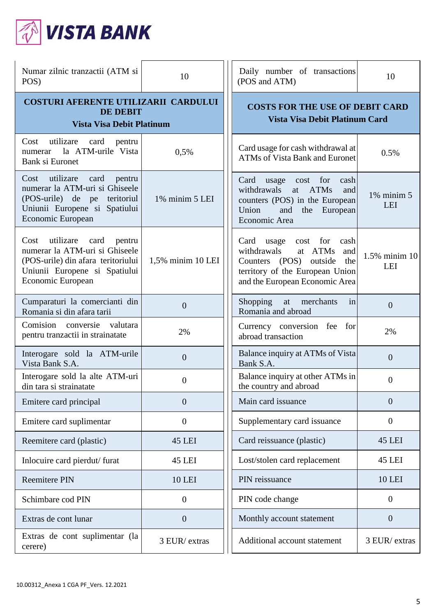

| Numar zilnic tranzactii (ATM si<br>POS)                                                                                                                           | 10                | Daily number of transactions<br>(POS and ATM)                                                                                                                            | 10                     |
|-------------------------------------------------------------------------------------------------------------------------------------------------------------------|-------------------|--------------------------------------------------------------------------------------------------------------------------------------------------------------------------|------------------------|
| <b>COSTURI AFERENTE UTILIZARII CARDULUI</b><br><b>DE DEBIT</b><br><b>Vista Visa Debit Platinum</b>                                                                |                   | <b>COSTS FOR THE USE OF DEBIT CARD</b><br><b>Vista Visa Debit Platinum Card</b>                                                                                          |                        |
| Cost<br>utilizare card<br>pentru<br>la ATM-urile Vista<br>numerar<br>Bank si Euronet                                                                              | 0,5%              | Card usage for cash withdrawal at<br><b>ATMs of Vista Bank and Euronet</b>                                                                                               | 0.5%                   |
| utilizare<br>Cost<br>card<br>pentru<br>numerar la ATM-uri si Ghiseele<br>(POS-urile) de pe<br>teritoriul<br>Uniunii Europene si Spatiului<br>Economic European    | 1% minim 5 LEI    | Card usage cost for<br>cash<br>at ATMs<br>withdrawals<br>and<br>counters (POS) in the European<br>Union<br>and<br>the European<br>Economic Area                          | $1\%$ minim $5$<br>LEI |
| utilizare<br>card<br>Cost<br>pentru<br>numerar la ATM-uri si Ghiseele<br>(POS-urile) din afara teritoriului<br>Uniunii Europene si Spatiului<br>Economic European | 1,5% minim 10 LEI | Card usage<br>cost for<br>cash<br>at ATMs<br>withdrawals<br>and<br>Counters (POS)<br>outside<br>the<br>territory of the European Union<br>and the European Economic Area | 1.5% minim 10<br>LEI   |
| Cumparaturi la comercianti din<br>Romania si din afara tarii                                                                                                      | $\overline{0}$    | Shopping at merchants<br>in<br>Romania and abroad                                                                                                                        | $\overline{0}$         |
| Comision conversie valutara<br>pentru tranzactii in strainatate                                                                                                   | 2%                | Currency conversion fee for<br>abroad transaction                                                                                                                        | 2%                     |
| Interogare sold la ATM-urile<br>Vista Bank S.A.                                                                                                                   | $\overline{0}$    | Balance inquiry at ATMs of Vista<br>Bank S.A.                                                                                                                            | $\overline{0}$         |
| Interogare sold la alte ATM-uri<br>din tara si strainatate                                                                                                        | 0                 | Balance inquiry at other ATMs in<br>the country and abroad                                                                                                               | $\boldsymbol{0}$       |
| Emitere card principal                                                                                                                                            | $\overline{0}$    | Main card issuance                                                                                                                                                       | $\overline{0}$         |
| Emitere card suplimentar                                                                                                                                          | $\overline{0}$    | Supplementary card issuance                                                                                                                                              | $\boldsymbol{0}$       |
| Reemitere card (plastic)                                                                                                                                          | <b>45 LEI</b>     | Card reissuance (plastic)                                                                                                                                                | <b>45 LEI</b>          |
| Inlocuire card pierdut/furat                                                                                                                                      | <b>45 LEI</b>     | Lost/stolen card replacement                                                                                                                                             | <b>45 LEI</b>          |
| <b>Reemitere PIN</b>                                                                                                                                              | <b>10 LEI</b>     | PIN reissuance                                                                                                                                                           | <b>10 LEI</b>          |
| Schimbare cod PIN                                                                                                                                                 | $\boldsymbol{0}$  | PIN code change                                                                                                                                                          | $\boldsymbol{0}$       |
| Extras de cont lunar                                                                                                                                              | $\boldsymbol{0}$  | Monthly account statement                                                                                                                                                | $\overline{0}$         |
| Extras de cont suplimentar (la<br>cerere)                                                                                                                         | 3 EUR/extras      | Additional account statement                                                                                                                                             | 3 EUR/extras           |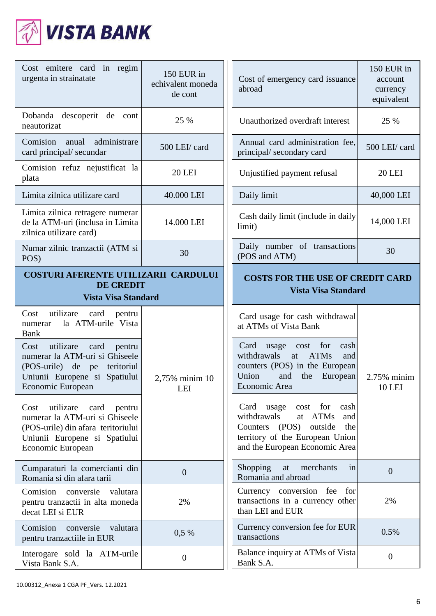

| Cost emitere card in regim<br>urgenta in strainatate                                                                                                              | 150 EUR in<br>echivalent moneda<br>de cont | Cost of emergency card issuance<br>abroad                                                                                                                                | 150 EUR in<br>account<br>currency<br>equivalent |
|-------------------------------------------------------------------------------------------------------------------------------------------------------------------|--------------------------------------------|--------------------------------------------------------------------------------------------------------------------------------------------------------------------------|-------------------------------------------------|
| Dobanda descoperit de cont<br>neautorizat                                                                                                                         | 25 %                                       | Unauthorized overdraft interest                                                                                                                                          | 25 %                                            |
| Comision anual<br>administrare<br>card principal/ secundar                                                                                                        | 500 LEI/ card                              | Annual card administration fee,<br>principal/secondary card                                                                                                              | 500 LEI/ card                                   |
| Comision refuz nejustificat la<br>plata                                                                                                                           | <b>20 LEI</b>                              | Unjustified payment refusal                                                                                                                                              | <b>20 LEI</b>                                   |
| Limita zilnica utilizare card                                                                                                                                     | 40.000 LEI                                 | Daily limit                                                                                                                                                              | 40,000 LEI                                      |
| Limita zilnica retragere numerar<br>de la ATM-uri (inclusa in Limita<br>zilnica utilizare card)                                                                   | 14.000 LEI                                 | Cash daily limit (include in daily<br>limit)                                                                                                                             | 14,000 LEI                                      |
| Numar zilnic tranzactii (ATM si<br>POS)                                                                                                                           | 30                                         | Daily number of transactions<br>(POS and ATM)                                                                                                                            | 30                                              |
| <b>COSTURI AFERENTE UTILIZARII CARDULUI</b><br><b>DE CREDIT</b><br><b>Vista Visa Standard</b>                                                                     |                                            | <b>COSTS FOR THE USE OF CREDIT CARD</b><br><b>Vista Visa Standard</b>                                                                                                    |                                                 |
| Cost<br>utilizare card pentru<br>la ATM-urile Vista<br>numerar<br><b>Bank</b>                                                                                     |                                            | Card usage for cash withdrawal<br>at ATMs of Vista Bank                                                                                                                  |                                                 |
| utilizare<br>Cost<br>card<br>pentru<br>numerar la ATM-uri si Ghiseele<br>(POS-urile) de pe<br>teritoriul<br>Uniunii Europene si Spatiului<br>Economic European    | 2,75% minim 10<br>LEI                      | Card<br>cost for<br>cash<br>usage<br>withdrawals<br><b>ATMs</b><br>at<br>and<br>counters (POS) in the European<br>Union<br>and<br>the<br>European<br>Economic Area       | 2.75% minim<br><b>10 LEI</b>                    |
| utilizare<br>Cost<br>card<br>pentru<br>numerar la ATM-uri si Ghiseele<br>(POS-urile) din afara teritoriului<br>Uniunii Europene si Spatiului<br>Economic European |                                            | Card usage<br>cost for<br>cash<br>withdrawals<br>at ATMs<br>and<br>Counters (POS)<br>outside<br>the<br>territory of the European Union<br>and the European Economic Area |                                                 |
| Cumparaturi la comercianti din<br>Romania si din afara tarii                                                                                                      | $\overline{0}$                             | Shopping<br>merchants<br>at<br>in<br>Romania and abroad                                                                                                                  | $\overline{0}$                                  |
| Comision conversie<br>valutara<br>pentru tranzactii in alta moneda<br>decat LEI si EUR                                                                            | 2%                                         | Currency conversion fee for<br>transactions in a currency other<br>than LEI and EUR                                                                                      | 2%                                              |
| Comision<br>conversie<br>valutara<br>pentru tranzactiile in EUR                                                                                                   | $0,5\%$                                    | Currency conversion fee for EUR<br>transactions                                                                                                                          | 0.5%                                            |
| Interogare sold la ATM-urile<br>Vista Bank S.A.                                                                                                                   | $\overline{0}$                             | Balance inquiry at ATMs of Vista<br>Bank S.A.                                                                                                                            | $\overline{0}$                                  |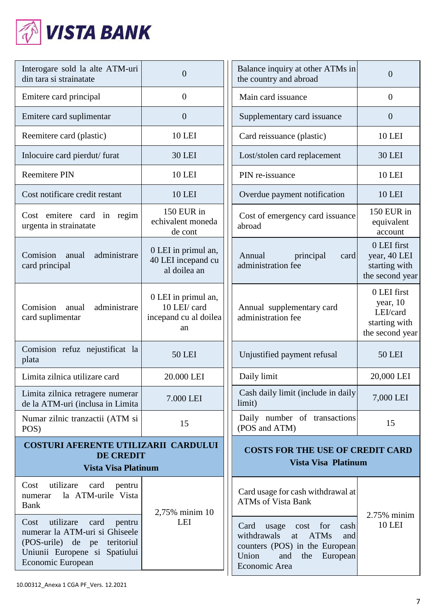

| Interogare sold la alte ATM-uri<br>din tara si strainatate                                                                                                  | $\overline{0}$                                                     | Balance inquiry at other ATMs in<br>the country and abroad                                                                                                         | 0                                                                       |
|-------------------------------------------------------------------------------------------------------------------------------------------------------------|--------------------------------------------------------------------|--------------------------------------------------------------------------------------------------------------------------------------------------------------------|-------------------------------------------------------------------------|
| Emitere card principal                                                                                                                                      | $\overline{0}$                                                     | Main card issuance                                                                                                                                                 | $\overline{0}$                                                          |
| Emitere card suplimentar                                                                                                                                    | $\overline{0}$                                                     | Supplementary card issuance                                                                                                                                        | $\overline{0}$                                                          |
| Reemitere card (plastic)                                                                                                                                    | <b>10 LEI</b>                                                      | Card reissuance (plastic)                                                                                                                                          | <b>10 LEI</b>                                                           |
| Inlocuire card pierdut/furat                                                                                                                                | <b>30 LEI</b>                                                      | Lost/stolen card replacement                                                                                                                                       | <b>30 LEI</b>                                                           |
| <b>Reemitere PIN</b>                                                                                                                                        | <b>10 LEI</b>                                                      | PIN re-issuance                                                                                                                                                    | <b>10 LEI</b>                                                           |
| Cost notificare credit restant                                                                                                                              | <b>10 LEI</b>                                                      | Overdue payment notification                                                                                                                                       | <b>10 LEI</b>                                                           |
| Cost emitere card in regim<br>urgenta in strainatate                                                                                                        | 150 EUR in<br>echivalent moneda<br>de cont                         | Cost of emergency card issuance<br>abroad                                                                                                                          | 150 EUR in<br>equivalent<br>account                                     |
| Comision<br>administrare<br>anual<br>card principal                                                                                                         | 0 LEI in primul an,<br>40 LEI incepand cu<br>al doilea an          | Annual<br>principal<br>card<br>administration fee                                                                                                                  | 0 LEI first<br>year, 40 LEI<br>starting with<br>the second year         |
| Comision<br>administrare<br>anual<br>card suplimentar                                                                                                       | 0 LEI in primul an,<br>10 LEI/ card<br>incepand cu al doilea<br>an | Annual supplementary card<br>administration fee                                                                                                                    | 0 LEI first<br>year, 10<br>LEI/card<br>starting with<br>the second year |
| Comision refuz nejustificat la<br>plata                                                                                                                     | <b>50 LEI</b>                                                      | Unjustified payment refusal                                                                                                                                        | <b>50 LEI</b>                                                           |
| Limita zilnica utilizare card                                                                                                                               | 20.000 LEI                                                         | Daily limit                                                                                                                                                        | 20,000 LEI                                                              |
| Limita zilnica retragere numerar<br>de la ATM-uri (inclusa in Limita                                                                                        | 7.000 LEI                                                          | Cash daily limit (include in daily<br>limit)                                                                                                                       | 7,000 LEI                                                               |
| Numar zilnic tranzactii (ATM si<br>POS)                                                                                                                     | 15                                                                 | Daily number of transactions<br>(POS and ATM)                                                                                                                      | 15                                                                      |
| <b>COSTURI AFERENTE UTILIZARII CARDULUI</b><br><b>DE CREDIT</b><br><b>Vista Visa Platinum</b>                                                               |                                                                    | <b>COSTS FOR THE USE OF CREDIT CARD</b><br>Vista Visa Platinum                                                                                                     |                                                                         |
| utilizare<br>Cost<br>card<br>pentru<br>la ATM-urile Vista<br>numerar<br><b>Bank</b>                                                                         | 2,75% minim 10                                                     | Card usage for cash withdrawal at<br><b>ATMs of Vista Bank</b>                                                                                                     |                                                                         |
| utilizare<br>Cost<br>card<br>pentru<br>numerar la ATM-uri si Ghiseele<br>(POS-urile) de pe teritoriul<br>Uniunii Europene si Spatiului<br>Economic European | LEI                                                                | usage<br>cost for<br>Card<br>cash<br>withdrawals<br>at<br><b>ATMs</b><br>and<br>counters (POS) in the European<br>Union<br>and<br>European<br>the<br>Economic Area | 2.75% minim<br><b>10 LEI</b>                                            |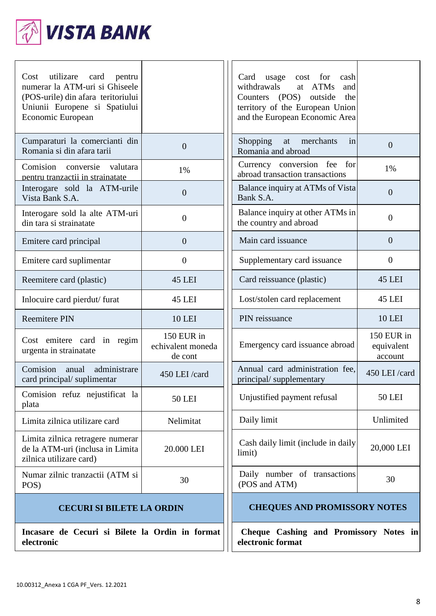

| utilizare card<br>Cost<br>pentru<br>numerar la ATM-uri si Ghiseele<br>(POS-urile) din afara teritoriului<br>Uniunii Europene si Spatiului<br>Economic European |                                            | usage<br>Card<br>cost<br>for<br>cash<br>withdrawals<br>at ATMs<br>and<br>Counters (POS) outside<br>the<br>territory of the European Union<br>and the European Economic Area |                                     |
|----------------------------------------------------------------------------------------------------------------------------------------------------------------|--------------------------------------------|-----------------------------------------------------------------------------------------------------------------------------------------------------------------------------|-------------------------------------|
| Cumparaturi la comercianti din<br>Romania si din afara tarii                                                                                                   | $\overline{0}$                             | Shopping at merchants<br>in<br>Romania and abroad                                                                                                                           | $\overline{0}$                      |
| Comision conversie<br>valutara<br>pentru tranzactii in strainatate                                                                                             | 1%                                         | Currency conversion fee for<br>abroad transaction transactions                                                                                                              | 1%                                  |
| Interogare sold la ATM-urile<br>Vista Bank S.A.                                                                                                                | $\overline{0}$                             | Balance inquiry at ATMs of Vista<br>Bank S.A.                                                                                                                               | $\overline{0}$                      |
| Interogare sold la alte ATM-uri<br>din tara si strainatate                                                                                                     | $\theta$                                   | Balance inquiry at other ATMs in<br>the country and abroad                                                                                                                  | $\overline{0}$                      |
| Emitere card principal                                                                                                                                         | $\overline{0}$                             | Main card issuance                                                                                                                                                          | $\overline{0}$                      |
| Emitere card suplimentar                                                                                                                                       | $\theta$                                   | Supplementary card issuance                                                                                                                                                 | $\theta$                            |
| Reemitere card (plastic)                                                                                                                                       | <b>45 LEI</b>                              | Card reissuance (plastic)                                                                                                                                                   | <b>45 LEI</b>                       |
| Inlocuire card pierdut/furat                                                                                                                                   | <b>45 LEI</b>                              | Lost/stolen card replacement                                                                                                                                                | <b>45 LEI</b>                       |
| <b>Reemitere PIN</b>                                                                                                                                           | <b>10 LEI</b>                              | PIN reissuance                                                                                                                                                              | <b>10 LEI</b>                       |
| Cost emitere card in regim<br>urgenta in strainatate                                                                                                           | 150 EUR in<br>echivalent moneda<br>de cont | Emergency card issuance abroad                                                                                                                                              | 150 EUR in<br>equivalent<br>account |
| Comision anual<br>administrare<br>card principal/suplimentar                                                                                                   | 450 LEI/card                               | Annual card administration fee,<br>principal/supplementary                                                                                                                  | 450 LEI /card                       |
| Comision refuz nejustificat la<br>plata                                                                                                                        | <b>50 LEI</b>                              | Unjustified payment refusal                                                                                                                                                 | <b>50 LEI</b>                       |
| Limita zilnica utilizare card                                                                                                                                  | Nelimitat                                  | Daily limit                                                                                                                                                                 | Unlimited                           |
| Limita zilnica retragere numerar<br>de la ATM-uri (inclusa in Limita<br>zilnica utilizare card)                                                                | 20.000 LEI                                 | Cash daily limit (include in daily<br>limit)                                                                                                                                | 20,000 LEI                          |
| Numar zilnic tranzactii (ATM si<br>POS)                                                                                                                        | 30                                         | Daily number of transactions<br>(POS and ATM)                                                                                                                               | 30                                  |
| <b>CECURI SI BILETE LA ORDIN</b>                                                                                                                               |                                            | <b>CHEQUES AND PROMISSORY NOTES</b>                                                                                                                                         |                                     |
| Incasare de Cecuri si Bilete la Ordin in format<br>electronic                                                                                                  |                                            | Cheque Cashing and Promissory Notes in<br>electronic format                                                                                                                 |                                     |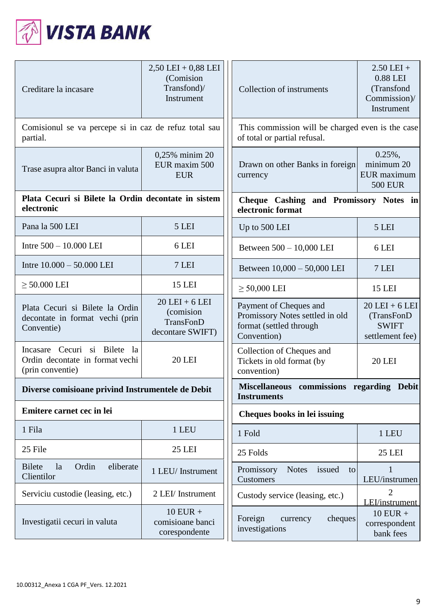

| Creditare la incasare                                                                     | $2,50$ LEI + $0,88$ LEI<br>(Comision<br>Transfond)/<br>Instrument        | Collection of instruments                                                                           | $2.50$ LEI +<br>0.88 LEI<br>(Transfond<br>Commission)/<br>Instrument |
|-------------------------------------------------------------------------------------------|--------------------------------------------------------------------------|-----------------------------------------------------------------------------------------------------|----------------------------------------------------------------------|
| Comisionul se va percepe si in caz de refuz total sau<br>partial.                         |                                                                          | This commission will be charged even is the case<br>of total or partial refusal.                    |                                                                      |
| Trase asupra altor Banci in valuta                                                        | 0,25% minim 20<br>EUR maxim 500<br><b>EUR</b>                            | Drawn on other Banks in foreign<br>currency                                                         | $0.25\%,$<br>minimum 20<br>EUR maximum<br><b>500 EUR</b>             |
| electronic                                                                                | Plata Cecuri si Bilete la Ordin decontate in sistem<br>electronic format |                                                                                                     | Cheque Cashing and Promissory Notes in                               |
| Pana la 500 LEI                                                                           | 5 LEI                                                                    | Up to 500 LEI                                                                                       | 5 LEI                                                                |
| Intre 500 - 10.000 LEI                                                                    | 6 LEI                                                                    | Between 500 - 10,000 LEI                                                                            | 6 LEI                                                                |
| Intre $10.000 - 50.000$ LEI                                                               | 7 LEI                                                                    | Between 10,000 - 50,000 LEI                                                                         | 7 LEI                                                                |
| $\geq$ 50.000 LEI                                                                         | <b>15 LEI</b>                                                            | $\geq 50,000$ LEI                                                                                   | <b>15 LEI</b>                                                        |
| Plata Cecuri si Bilete la Ordin<br>decontate in format vechi (prin<br>Conventie)          | $20$ LEI + 6 LEI<br>(comision<br>TransFonD<br>decontare SWIFT)           | Payment of Cheques and<br>Promissory Notes settled in old<br>format (settled through<br>Convention) | $20$ LEI + 6 LEI<br>(TransFonD<br><b>SWIFT</b><br>settlement fee)    |
| Cecuri si Bilete<br>Incasare<br>la<br>Ordin decontate in format vechi<br>(prin conventie) | <b>20 LEI</b>                                                            | Collection of Cheques and<br>Tickets in old format (by<br>convention)                               | <b>20 LEI</b>                                                        |
| Diverse comisioane privind Instrumentele de Debit                                         |                                                                          | Miscellaneous commissions regarding Debit<br><b>Instruments</b>                                     |                                                                      |
| Emitere carnet cec in lei                                                                 |                                                                          | Cheques books in lei issuing                                                                        |                                                                      |
| 1 Fila                                                                                    | 1 LEU                                                                    | 1 Fold                                                                                              | 1 LEU                                                                |
| 25 File                                                                                   | <b>25 LEI</b>                                                            | 25 Folds                                                                                            | <b>25 LEI</b>                                                        |
| <b>Bilete</b><br>Ordin<br>eliberate<br>la<br>Clientilor                                   | 1 LEU/Instrument                                                         | Promissory<br>issued<br><b>Notes</b><br>to<br>Customers                                             | 1<br>LEU/instrumen                                                   |
| Serviciu custodie (leasing, etc.)                                                         | 2 LEI/ Instrument                                                        | Custody service (leasing, etc.)                                                                     | $\overline{2}$<br>LEI/instrument                                     |
| Investigatii cecuri in valuta                                                             | $10$ EUR +<br>comisioane banci<br>corespondente                          | Foreign<br>cheques<br>currency<br>investigations                                                    | $10$ EUR +<br>correspondent<br>bank fees                             |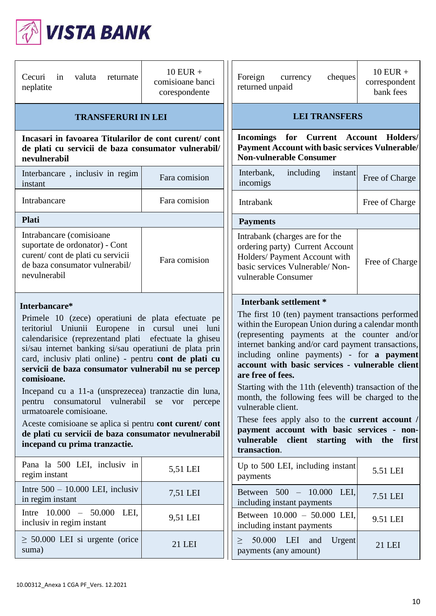

| Cecuri<br>in<br>valuta<br>returnate<br>neplatite                                                                                                                                                                                                                                                                                                                                                                                                                                                                                                                                                                                                                    | $10$ EUR +<br>comisioane banci<br>corespondente | $10$ EUR +<br>Foreign<br>cheques<br>currency<br>correspondent<br>returned unpaid<br>bank fees                                                                                                                                                                                                                                                                                                                                                                                                                                                                                                                                                                      |
|---------------------------------------------------------------------------------------------------------------------------------------------------------------------------------------------------------------------------------------------------------------------------------------------------------------------------------------------------------------------------------------------------------------------------------------------------------------------------------------------------------------------------------------------------------------------------------------------------------------------------------------------------------------------|-------------------------------------------------|--------------------------------------------------------------------------------------------------------------------------------------------------------------------------------------------------------------------------------------------------------------------------------------------------------------------------------------------------------------------------------------------------------------------------------------------------------------------------------------------------------------------------------------------------------------------------------------------------------------------------------------------------------------------|
| <b>TRANSFERURI IN LEI</b>                                                                                                                                                                                                                                                                                                                                                                                                                                                                                                                                                                                                                                           |                                                 | <b>LEI TRANSFERS</b>                                                                                                                                                                                                                                                                                                                                                                                                                                                                                                                                                                                                                                               |
| Incasari in favoarea Titularilor de cont curent/cont<br>de plati cu servicii de baza consumator vulnerabil/<br>nevulnerabil                                                                                                                                                                                                                                                                                                                                                                                                                                                                                                                                         |                                                 | Incomings for Current Account Holders/<br><b>Payment Account with basic services Vulnerable/</b><br><b>Non-vulnerable Consumer</b>                                                                                                                                                                                                                                                                                                                                                                                                                                                                                                                                 |
| Interbancare, inclusiv in regim<br>instant                                                                                                                                                                                                                                                                                                                                                                                                                                                                                                                                                                                                                          | Fara comision                                   | Interbank,<br>including<br>instant<br>Free of Charge<br>incomigs                                                                                                                                                                                                                                                                                                                                                                                                                                                                                                                                                                                                   |
| Intrabancare                                                                                                                                                                                                                                                                                                                                                                                                                                                                                                                                                                                                                                                        | Fara comision                                   | Intrabank<br>Free of Charge                                                                                                                                                                                                                                                                                                                                                                                                                                                                                                                                                                                                                                        |
| <b>Plati</b>                                                                                                                                                                                                                                                                                                                                                                                                                                                                                                                                                                                                                                                        |                                                 | <b>Payments</b>                                                                                                                                                                                                                                                                                                                                                                                                                                                                                                                                                                                                                                                    |
| Intrabancare (comisioane<br>suportate de ordonator) - Cont<br>curent/cont de plati cu servicii<br>de baza consumator vulnerabil/<br>nevulnerabil                                                                                                                                                                                                                                                                                                                                                                                                                                                                                                                    | Fara comision                                   | Intrabank (charges are for the<br>ordering party) Current Account<br>Holders/ Payment Account with<br>Free of Charge<br>basic services Vulnerable/Non-<br>vulnerable Consumer                                                                                                                                                                                                                                                                                                                                                                                                                                                                                      |
| Interbancare*<br>Primele 10 (zece) operatiuni de plata efectuate pe<br>teritoriul Uniunii Europene in cursul unei luni<br>calendarisice (reprezentand plati efectuate la ghiseu<br>si/sau internet banking si/sau operatiuni de plata prin<br>card, inclusiv plati online) - pentru cont de plati cu<br>servicii de baza consumator vulnerabil nu se percep<br>comisioane.<br>Incepand cu a 11-a (unsprezecea) tranzactie din luna,<br>pentru consumatorul vulnerabil se vor percepe<br>urmatoarele comisioane.<br>Aceste comisioane se aplica si pentru cont curent/ cont<br>de plati cu servicii de baza consumator nevulnerabil<br>incepand cu prima tranzactie. |                                                 | Interbank settlement *<br>The first 10 (ten) payment transactions performed<br>within the European Union during a calendar month<br>(representing payments at the counter and/or<br>internet banking and/or card payment transactions,<br>including online payments) - for a payment<br>account with basic services - vulnerable client<br>are free of fees.<br>Starting with the 11th (eleventh) transaction of the<br>month, the following fees will be charged to the<br>vulnerable client.<br>These fees apply also to the <b>current account</b> /<br>payment account with basic services - non-<br>vulnerable client starting with the first<br>transaction. |
| Pana la 500 LEI, inclusiv in<br>regim instant                                                                                                                                                                                                                                                                                                                                                                                                                                                                                                                                                                                                                       | 5,51 LEI                                        | Up to 500 LEI, including instant<br>5.51 LEI<br>payments                                                                                                                                                                                                                                                                                                                                                                                                                                                                                                                                                                                                           |
| Intre $500 - 10.000$ LEI, inclusiv<br>in regim instant                                                                                                                                                                                                                                                                                                                                                                                                                                                                                                                                                                                                              | 7,51 LEI                                        | Between 500 - 10.000 LEI,<br>7.51 LEI<br>including instant payments                                                                                                                                                                                                                                                                                                                                                                                                                                                                                                                                                                                                |
| Intre $10.000 - 50.000$ LEI,<br>inclusiv in regim instant                                                                                                                                                                                                                                                                                                                                                                                                                                                                                                                                                                                                           | 9,51 LEI                                        | Between 10.000 - 50.000 LEI,<br>9.51 LEI<br>including instant payments                                                                                                                                                                                                                                                                                                                                                                                                                                                                                                                                                                                             |
| $\geq$ 50.000 LEI si urgente (orice<br>suma)                                                                                                                                                                                                                                                                                                                                                                                                                                                                                                                                                                                                                        | 21 LEI                                          | 50.000<br>LEI<br>Urgent<br>and<br>><br>21 LEI<br>payments (any amount)                                                                                                                                                                                                                                                                                                                                                                                                                                                                                                                                                                                             |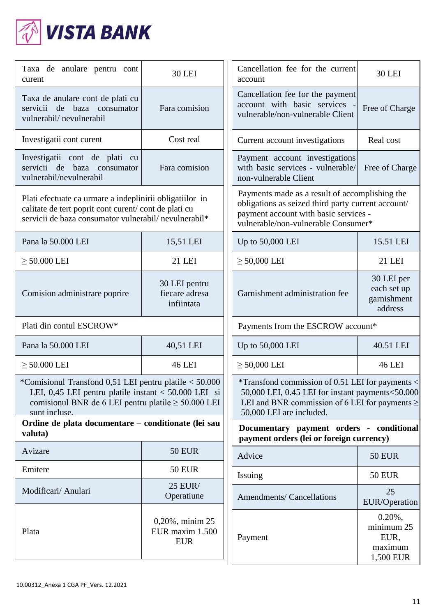

| Taxa de anulare pentru cont<br>curent                                                                                                                                      | <b>30 LEI</b>                                                                                                                                                                                                                                                                                                                                                           | Cancellation fee for the current<br>account                                                                                                                                          | <b>30 LEI</b>                                            |
|----------------------------------------------------------------------------------------------------------------------------------------------------------------------------|-------------------------------------------------------------------------------------------------------------------------------------------------------------------------------------------------------------------------------------------------------------------------------------------------------------------------------------------------------------------------|--------------------------------------------------------------------------------------------------------------------------------------------------------------------------------------|----------------------------------------------------------|
| Taxa de anulare cont de plati cu<br>servicii de baza consumator<br>vulnerabil/nevulnerabil                                                                                 | Fara comision                                                                                                                                                                                                                                                                                                                                                           | Cancellation fee for the payment<br>account with basic services<br>vulnerable/non-vulnerable Client                                                                                  | Free of Charge                                           |
| Investigatii cont curent                                                                                                                                                   | Cost real                                                                                                                                                                                                                                                                                                                                                               | Current account investigations                                                                                                                                                       | Real cost                                                |
| Investigatii cont de plati cu<br>servicii de<br>baza consumator<br>vulnerabil/nevulnerabil                                                                                 | Fara comision                                                                                                                                                                                                                                                                                                                                                           | Payment account investigations<br>with basic services - vulnerable/<br>non-vulnerable Client                                                                                         | Free of Charge                                           |
| Plati efectuate ca urmare a indeplinirii obligatiilor in<br>calitate de tert poprit cont curent/ cont de plati cu<br>servicii de baza consumator vulnerabil/ nevulnerabil* |                                                                                                                                                                                                                                                                                                                                                                         | Payments made as a result of accomplishing the<br>obligations as seized third party current account/<br>payment account with basic services -<br>vulnerable/non-vulnerable Consumer* |                                                          |
| Pana la 50.000 LEI                                                                                                                                                         | 15,51 LEI                                                                                                                                                                                                                                                                                                                                                               | Up to 50,000 LEI                                                                                                                                                                     | 15.51 LEI                                                |
| $\geq$ 50.000 LEI                                                                                                                                                          | 21 LEI                                                                                                                                                                                                                                                                                                                                                                  | $\geq$ 50,000 LEI                                                                                                                                                                    | 21 LEI                                                   |
| Comision administrare poprire                                                                                                                                              | 30 LEI pentru<br>fiecare adresa<br>infiintata                                                                                                                                                                                                                                                                                                                           | Garnishment administration fee                                                                                                                                                       | 30 LEI per<br>each set up<br>garnishment<br>address      |
| Plati din contul ESCROW*                                                                                                                                                   |                                                                                                                                                                                                                                                                                                                                                                         | Payments from the ESCROW account*                                                                                                                                                    |                                                          |
| Pana la 50.000 LEI                                                                                                                                                         | 40,51 LEI                                                                                                                                                                                                                                                                                                                                                               | Up to 50,000 LEI                                                                                                                                                                     | 40.51 LEI                                                |
| $\geq$ 50.000 LEI                                                                                                                                                          | <b>46 LEI</b>                                                                                                                                                                                                                                                                                                                                                           | $\geq$ 50,000 LEI                                                                                                                                                                    | <b>46 LEI</b>                                            |
| sunt incluse.                                                                                                                                                              | *Comisionul Transfond 0,51 LEI pentru platile < 50.000<br>*Transfond commission of 0.51 LEI for payments <<br>LEI, 0,45 LEI pentru platile instant $<$ 50.000 LEI si<br>50,000 LEI, 0.45 LEI for instant payments<50.000<br>LEI and BNR commission of 6 LEI for payments $\geq$<br>comisionul BNR de 6 LEI pentru platile $\geq 50.000$ LEI<br>50,000 LEI are included. |                                                                                                                                                                                      |                                                          |
| Ordine de plata documentare - conditionate (lei sau<br>valuta)                                                                                                             |                                                                                                                                                                                                                                                                                                                                                                         | Documentary payment orders - conditional<br>payment orders (lei or foreign currency)                                                                                                 |                                                          |
| Avizare                                                                                                                                                                    | <b>50 EUR</b>                                                                                                                                                                                                                                                                                                                                                           | Advice                                                                                                                                                                               | <b>50 EUR</b>                                            |
| Emitere                                                                                                                                                                    | <b>50 EUR</b>                                                                                                                                                                                                                                                                                                                                                           | Issuing                                                                                                                                                                              | <b>50 EUR</b>                                            |
| Modificari/ Anulari                                                                                                                                                        | <b>25 EUR/</b><br>Operatiune                                                                                                                                                                                                                                                                                                                                            | <b>Amendments/Cancellations</b>                                                                                                                                                      | 25<br><b>EUR/Operation</b>                               |
| Plata                                                                                                                                                                      | 0,20%, minim 25<br>EUR maxim 1.500<br><b>EUR</b>                                                                                                                                                                                                                                                                                                                        | Payment                                                                                                                                                                              | $0.20\%$ ,<br>minimum 25<br>EUR,<br>maximum<br>1,500 EUR |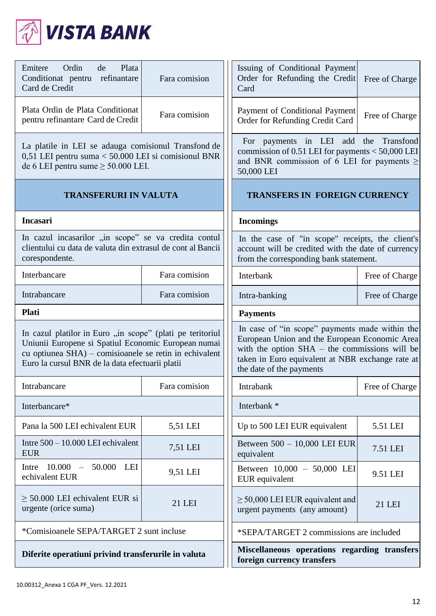

| Ordin<br>Emitere<br>de<br>Plata<br>Conditionat pentru refinantare<br>Card de Credit                                                                                                                                           | Fara comision | Issuing of Conditional Payment<br>Order for Refunding the Credit<br>Card                                                                                                                                                           | Free of Charge |
|-------------------------------------------------------------------------------------------------------------------------------------------------------------------------------------------------------------------------------|---------------|------------------------------------------------------------------------------------------------------------------------------------------------------------------------------------------------------------------------------------|----------------|
| Plata Ordin de Plata Conditionat<br>pentru refinantare Card de Credit                                                                                                                                                         | Fara comision | Payment of Conditional Payment<br>Order for Refunding Credit Card                                                                                                                                                                  | Free of Charge |
| La platile in LEI se adauga comisionul Transfond de<br>0,51 LEI pentru suma < 50.000 LEI si comisionul BNR<br>de 6 LEI pentru sume $\geq 50.000$ LEI.                                                                         |               | For payments in LEI add the Transfond<br>commission of 0.51 LEI for payments $<$ 50,000 LEI<br>and BNR commission of 6 LEI for payments $\geq$<br>50,000 LEI                                                                       |                |
| <b>TRANSFERURI IN VALUTA</b>                                                                                                                                                                                                  |               | <b>TRANSFERS IN FOREIGN CURRENCY</b>                                                                                                                                                                                               |                |
| <b>Incasari</b>                                                                                                                                                                                                               |               | <b>Incomings</b>                                                                                                                                                                                                                   |                |
| In cazul incasarilor "in scope" se va credita contul<br>clientului cu data de valuta din extrasul de cont al Bancii<br>corespondente.                                                                                         |               | In the case of "in scope" receipts, the client's<br>account will be credited with the date of currency<br>from the corresponding bank statement.                                                                                   |                |
| Interbancare                                                                                                                                                                                                                  | Fara comision | Interbank                                                                                                                                                                                                                          | Free of Charge |
| Intrabancare                                                                                                                                                                                                                  | Fara comision | Intra-banking                                                                                                                                                                                                                      | Free of Charge |
| <b>Plati</b>                                                                                                                                                                                                                  |               | <b>Payments</b>                                                                                                                                                                                                                    |                |
| In cazul platilor in Euro "in scope" (plati pe teritoriul<br>Uniunii Europene si Spatiul Economic European numai<br>cu optiunea SHA) – comisioanele se retin in echivalent<br>Euro la cursul BNR de la data efectuarii platii |               | In case of "in scope" payments made within the<br>European Union and the European Economic Area<br>with the option $SHA$ – the commissions will be<br>taken in Euro equivalent at NBR exchange rate at<br>the date of the payments |                |
| Intrabancare                                                                                                                                                                                                                  | Fara comision | Intrabank                                                                                                                                                                                                                          | Free of Charge |
| Interbancare*                                                                                                                                                                                                                 |               | Interbank *                                                                                                                                                                                                                        |                |
| Pana la 500 LEI echivalent EUR                                                                                                                                                                                                | 5,51 LEI      | Up to 500 LEI EUR equivalent                                                                                                                                                                                                       | 5.51 LEI       |
| Intre $500 - 10.000$ LEI echivalent<br><b>EUR</b>                                                                                                                                                                             | 7,51 LEI      | Between 500 - 10,000 LEI EUR<br>equivalent                                                                                                                                                                                         | 7.51 LEI       |
| $10.000 -$<br>50.000 LEI<br>Intre<br>echivalent EUR                                                                                                                                                                           | 9,51 LEI      | Between 10,000 - 50,000 LEI<br>EUR equivalent                                                                                                                                                                                      | 9.51 LEI       |
| $\geq$ 50.000 LEI echivalent EUR si<br>urgente (orice suma)                                                                                                                                                                   | 21 LEI        | $\geq$ 50,000 LEI EUR equivalent and<br>urgent payments (any amount)                                                                                                                                                               | 21 LEI         |
| *Comisioanele SEPA/TARGET 2 sunt incluse                                                                                                                                                                                      |               | *SEPA/TARGET 2 commissions are included                                                                                                                                                                                            |                |
| Diferite operatiuni privind transferurile in valuta                                                                                                                                                                           |               | Miscellaneous operations regarding transfers<br>foreign currency transfers                                                                                                                                                         |                |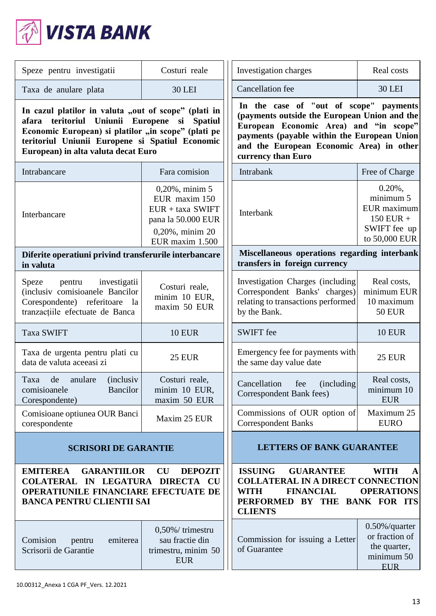

| Speze pentru investigatii                                                                                                                                                                                                                                   | Costuri reale                                                                                                         | Investigation charges                                                                                                                                                                                                                             | Real costs                                                                             |
|-------------------------------------------------------------------------------------------------------------------------------------------------------------------------------------------------------------------------------------------------------------|-----------------------------------------------------------------------------------------------------------------------|---------------------------------------------------------------------------------------------------------------------------------------------------------------------------------------------------------------------------------------------------|----------------------------------------------------------------------------------------|
| Taxa de anulare plata                                                                                                                                                                                                                                       | <b>30 LEI</b>                                                                                                         | <b>Cancellation</b> fee                                                                                                                                                                                                                           | <b>30 LEI</b>                                                                          |
| In cazul platilor in valuta "out of scope" (plati in<br>teritoriul<br>Uniunii Europene si Spatiul<br>afara<br>Economic European) si platilor "in scope" (plati pe<br>teritoriul Uniunii Europene si Spatiul Economic<br>European) in alta valuta decat Euro |                                                                                                                       | In the case of "out of scope" payments<br>(payments outside the European Union and the<br>European Economic Area) and "in scope"<br>payments (payable within the European Union<br>and the European Economic Area) in other<br>currency than Euro |                                                                                        |
| Intrabancare                                                                                                                                                                                                                                                | Fara comision                                                                                                         | Intrabank                                                                                                                                                                                                                                         | Free of Charge                                                                         |
| Interbancare                                                                                                                                                                                                                                                | $0,20\%$ , minim 5<br>EUR maxim 150<br>$EUR + taxa$ SWIFT<br>pana la 50.000 EUR<br>0,20%, minim 20<br>EUR maxim 1.500 | Interbank                                                                                                                                                                                                                                         | $0.20\%$ ,<br>minimum 5<br>EUR maximum<br>$150$ EUR +<br>SWIFT fee up<br>to 50,000 EUR |
| Diferite operatiuni privind transferurile interbancare<br>in valuta                                                                                                                                                                                         |                                                                                                                       | Miscellaneous operations regarding interbank<br>transfers in foreign currency                                                                                                                                                                     |                                                                                        |
| investigatii<br>Speze<br>pentru<br>(inclusiv comisioanele Bancilor<br>Corespondente) referitoare la<br>tranzacțiile efectuate de Banca                                                                                                                      | Costuri reale,<br>minim 10 EUR,<br>maxim 50 EUR                                                                       | Investigation Charges (including<br>Correspondent Banks' charges)<br>relating to transactions performed<br>by the Bank.                                                                                                                           | Real costs,<br>minimum EUR<br>10 maximum<br><b>50 EUR</b>                              |
| <b>Taxa SWIFT</b>                                                                                                                                                                                                                                           | <b>10 EUR</b>                                                                                                         | <b>SWIFT</b> fee                                                                                                                                                                                                                                  | <b>10 EUR</b>                                                                          |
| Taxa de urgenta pentru plati cu<br>data de valuta aceeasi zi                                                                                                                                                                                                | <b>25 EUR</b>                                                                                                         | Emergency fee for payments with<br>the same day value date                                                                                                                                                                                        | <b>25 EUR</b>                                                                          |
| Taxa de<br>anulare<br><i>(inclusiv)</i><br>Bancilor<br>comisioanele<br>Corespondente)                                                                                                                                                                       | Costuri reale,<br>minim 10 EUR,<br>maxim 50 EUR                                                                       | Cancellation<br>(including)<br>fee<br>Correspondent Bank fees)                                                                                                                                                                                    | Real costs,<br>minimum 10<br><b>EUR</b>                                                |
| Comisioane optiunea OUR Banci<br>corespondente                                                                                                                                                                                                              | Maxim 25 EUR                                                                                                          | Commissions of OUR option of<br><b>Correspondent Banks</b>                                                                                                                                                                                        | Maximum 25<br><b>EURO</b>                                                              |
| <b>SCRISORI DE GARANTIE</b>                                                                                                                                                                                                                                 |                                                                                                                       | <b>LETTERS OF BANK GUARANTEE</b>                                                                                                                                                                                                                  |                                                                                        |
| <b>GARANTIILOR</b><br>CU<br><b>DEPOZIT</b><br><b>EMITEREA</b><br>COLATERAL IN LEGATURA DIRECTA CU<br>OPERATIUNILE FINANCIARE EFECTUATE DE<br><b>BANCA PENTRU CLIENTII SAI</b>                                                                               |                                                                                                                       | <b>ISSUING</b><br><b>GUARANTEE</b><br><b>COLLATERAL IN A DIRECT CONNECTION</b><br><b>WITH</b><br><b>FINANCIAL</b><br>PERFORMED BY THE BANK FOR ITS<br><b>CLIENTS</b>                                                                              | <b>WITH</b><br>A<br><b>OPERATIONS</b>                                                  |
| Comision<br>emiterea<br>pentru<br>Scrisorii de Garantie                                                                                                                                                                                                     | 0,50%/trimestru<br>sau fractie din<br>trimestru, minim 50<br><b>EUR</b>                                               | Commission for issuing a Letter<br>of Guarantee                                                                                                                                                                                                   | $0.50\%$ /quarter<br>or fraction of<br>the quarter,<br>minimum 50<br><b>EUR</b>        |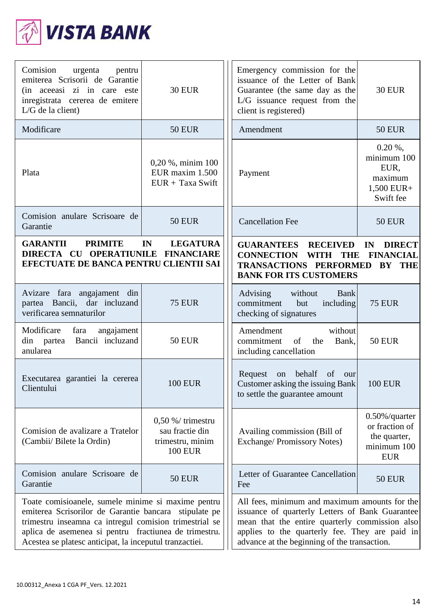

| Comision<br>urgenta<br>pentru<br>emiterea Scrisorii de Garantie<br>(in acceasi zi in care este<br>inregistrata cererea de emitere<br>$L/G$ de la client)                                                                                                                                  | <b>30 EUR</b>                                                                | Emergency commission for the<br>issuance of the Letter of Bank<br>Guarantee (the same day as the<br>L/G issuance request from the<br>client is registered)                                                                                           | <b>30 EUR</b>                                                                    |
|-------------------------------------------------------------------------------------------------------------------------------------------------------------------------------------------------------------------------------------------------------------------------------------------|------------------------------------------------------------------------------|------------------------------------------------------------------------------------------------------------------------------------------------------------------------------------------------------------------------------------------------------|----------------------------------------------------------------------------------|
| Modificare                                                                                                                                                                                                                                                                                | <b>50 EUR</b>                                                                | Amendment                                                                                                                                                                                                                                            | <b>50 EUR</b>                                                                    |
| Plata                                                                                                                                                                                                                                                                                     | 0,20 %, minim 100<br>EUR maxim 1.500<br>$EUR + Taxa$ Swift                   | Payment                                                                                                                                                                                                                                              | $0.20\%$ ,<br>minimum 100<br>EUR,<br>maximum<br>1,500 EUR+<br>Swift fee          |
| Comision anulare Scrisoare de<br>Garantie                                                                                                                                                                                                                                                 | <b>50 EUR</b>                                                                | <b>Cancellation Fee</b>                                                                                                                                                                                                                              | <b>50 EUR</b>                                                                    |
| <b>GARANTII</b><br><b>PRIMITE</b><br>IN<br><b>LEGATURA</b><br>DIRECTA CU OPERATIUNILE FINANCIARE<br>EFECTUATE DE BANCA PENTRU CLIENTII SAI                                                                                                                                                |                                                                              | <b>GUARANTEES RECEIVED</b><br><b>DIRECT</b><br>IN<br><b>CONNECTION</b><br>WITH THE<br><b>FINANCIAL</b><br>TRANSACTIONS PERFORMED<br>BY THE<br><b>BANK FOR ITS CUSTOMERS</b>                                                                          |                                                                                  |
| Avizare fara angajament din<br>partea Bancii, dar incluzand<br>verificarea semnaturilor                                                                                                                                                                                                   | <b>75 EUR</b>                                                                | without<br>Advising<br><b>Bank</b><br>commitment<br>but<br>including<br>checking of signatures                                                                                                                                                       | <b>75 EUR</b>                                                                    |
| Modificare<br>angajament<br>fara<br>Bancii incluzand<br>din partea<br>anularea                                                                                                                                                                                                            | <b>50 EUR</b>                                                                | without<br>Amendment<br>commitment<br>of<br>the<br>Bank,<br>including cancellation                                                                                                                                                                   | <b>50 EUR</b>                                                                    |
| Executarea garantiei la cererea<br>Clientului                                                                                                                                                                                                                                             | <b>100 EUR</b>                                                               | behalf<br>Request<br>on<br>of<br>our<br>Customer asking the issuing Bank<br>to settle the guarantee amount                                                                                                                                           | <b>100 EUR</b>                                                                   |
| Comision de avalizare a Tratelor<br>(Cambii/ Bilete la Ordin)                                                                                                                                                                                                                             | $0,50\%$ /trimestru<br>sau fractie din<br>trimestru, minim<br><b>100 EUR</b> | Availing commission (Bill of<br><b>Exchange/Promissory Notes)</b>                                                                                                                                                                                    | $0.50\%$ /quarter<br>or fraction of<br>the quarter,<br>minimum 100<br><b>EUR</b> |
| Comision anulare Scrisoare de<br>Garantie                                                                                                                                                                                                                                                 | <b>50 EUR</b>                                                                | Letter of Guarantee Cancellation<br>Fee                                                                                                                                                                                                              | <b>50 EUR</b>                                                                    |
| Toate comisioanele, sumele minime si maxime pentru<br>emiterea Scrisorilor de Garantie bancara stipulate pe<br>trimestru inseamna ca intregul comision trimestrial se<br>aplica de asemenea si pentru fractiunea de trimestru.<br>Acestea se platesc anticipat, la inceputul tranzactiei. |                                                                              | All fees, minimum and maximum amounts for the<br>issuance of quarterly Letters of Bank Guarantee<br>mean that the entire quarterly commission also<br>applies to the quarterly fee. They are paid in<br>advance at the beginning of the transaction. |                                                                                  |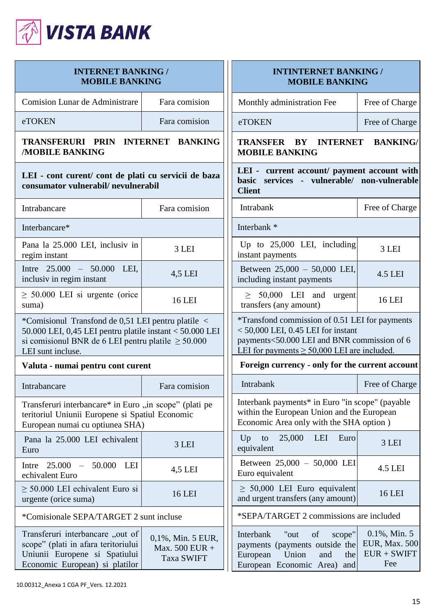

| <b>INTERNET BANKING /</b><br><b>MOBILE BANKING</b>                                                                                                                                             |                                                          | <b>INTINTERNET BANKING /</b><br><b>MOBILE BANKING</b>                                                                                                                                     |                                                                  |
|------------------------------------------------------------------------------------------------------------------------------------------------------------------------------------------------|----------------------------------------------------------|-------------------------------------------------------------------------------------------------------------------------------------------------------------------------------------------|------------------------------------------------------------------|
| <b>Comision Lunar de Administrare</b>                                                                                                                                                          | Fara comision                                            | Monthly administration Fee                                                                                                                                                                | Free of Charge                                                   |
| eTOKEN                                                                                                                                                                                         | Fara comision                                            | eTOKEN                                                                                                                                                                                    | Free of Charge                                                   |
| TRANSFERURI PRIN INTERNET<br><b>BANKING</b><br><b>MOBILE BANKING</b>                                                                                                                           |                                                          | TRANSFER BY INTERNET<br><b>BANKING/</b><br><b>MOBILE BANKING</b>                                                                                                                          |                                                                  |
| LEI - cont curent/ cont de plati cu servicii de baza<br>consumator vulnerabil/nevulnerabil                                                                                                     |                                                          | LEI - current account/ payment account with<br>basic services - vulnerable/ non-vulnerable<br><b>Client</b>                                                                               |                                                                  |
| Intrabancare                                                                                                                                                                                   | Fara comision                                            | Intrabank                                                                                                                                                                                 | Free of Charge                                                   |
| Interbancare*                                                                                                                                                                                  |                                                          | Interbank *                                                                                                                                                                               |                                                                  |
| Pana la 25.000 LEI, inclusiv in<br>regim instant                                                                                                                                               | 3 LEI                                                    | Up to $25,000$ LEI, including<br>instant payments                                                                                                                                         | 3 LEI                                                            |
| Intre $25.000 - 50.000$ LEI.<br>inclusiv in regim instant                                                                                                                                      | 4,5 LEI                                                  | Between 25,000 - 50,000 LEI,<br>including instant payments                                                                                                                                | 4.5 LEI                                                          |
| $\geq$ 50.000 LEI si urgente (orice<br>suma)                                                                                                                                                   | <b>16 LEI</b>                                            | $\geq$ 50,000 LEI and urgent<br>transfers (any amount)                                                                                                                                    | 16 LEI                                                           |
| *Comisionul Transfond de 0,51 LEI pentru platile <<br>50.000 LEI, 0,45 LEI pentru platile instant < 50.000 LEI<br>si comisionul BNR de 6 LEI pentru platile $\geq 50.000$<br>LEI sunt incluse. |                                                          | *Transfond commission of 0.51 LEI for payments<br>$<$ 50,000 LEI, 0.45 LEI for instant<br>payments<50.000 LEI and BNR commission of 6<br>LEI for payments $\geq 50,000$ LEI are included. |                                                                  |
| Valuta - numai pentru cont curent                                                                                                                                                              |                                                          | Foreign currency - only for the current account                                                                                                                                           |                                                                  |
| Intrabancare                                                                                                                                                                                   | Fara comision                                            | Intrabank                                                                                                                                                                                 | Free of Charge                                                   |
| Transferuri interbancare* in Euro "in scope" (plati pe<br>teritoriul Uniunii Europene si Spatiul Economic<br>European numai cu optiunea SHA)                                                   |                                                          | Interbank payments* in Euro "in scope" (payable<br>within the European Union and the European<br>Economic Area only with the SHA option )                                                 |                                                                  |
| Pana la 25.000 LEI echivalent<br>Euro                                                                                                                                                          | 3 LEI                                                    | 25,000<br>LEI<br>Euro<br>Up<br>to<br>equivalent                                                                                                                                           | 3 LEI                                                            |
| Intre 25.000<br>50.000<br>LEI<br>$\overline{\phantom{a}}$<br>echivalent Euro                                                                                                                   | 4,5 LEI                                                  | Between 25,000 - 50,000 LEI<br>Euro equivalent                                                                                                                                            | 4.5 LEI                                                          |
| $\geq$ 50.000 LEI echivalent Euro si<br>urgente (orice suma)                                                                                                                                   | <b>16 LEI</b>                                            | $\geq 50,000$ LEI Euro equivalent<br>and urgent transfers (any amount)                                                                                                                    | <b>16 LEI</b>                                                    |
| *Comisionale SEPA/TARGET 2 sunt incluse                                                                                                                                                        |                                                          | *SEPA/TARGET 2 commissions are included                                                                                                                                                   |                                                                  |
| Transferuri interbancare "out of<br>scope" (plati in afara teritoriului<br>Uniunii Europene si Spatiului<br>Economic European) si platilor                                                     | 0,1%, Min. 5 EUR,<br>Max. 500 EUR +<br><b>Taxa SWIFT</b> | Interbank<br>of<br>"out<br>scope"<br>payments (payments outside the<br>Union<br>and<br>the<br>European<br>European Economic Area)<br>and                                                  | $0.1\%$ , Min. 5<br><b>EUR, Max. 500</b><br>$EUR + SWIFT$<br>Fee |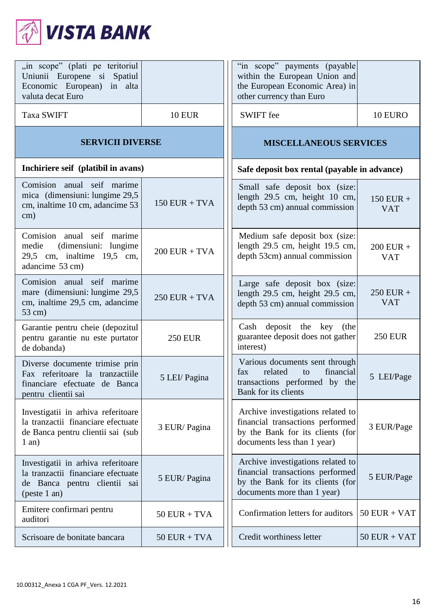

| "in scope" (plati pe teritoriul<br>Uniunii Europene si Spatiul<br>Economic European) in alta<br>valuta decat Euro         |                 | "in scope" payments (payable<br>within the European Union and<br>the European Economic Area) in<br>other currency than Euro              |                           |
|---------------------------------------------------------------------------------------------------------------------------|-----------------|------------------------------------------------------------------------------------------------------------------------------------------|---------------------------|
| <b>Taxa SWIFT</b>                                                                                                         | <b>10 EUR</b>   | <b>SWIFT</b> fee                                                                                                                         | 10 EURO                   |
| <b>SERVICII DIVERSE</b>                                                                                                   |                 | <b>MISCELLANEOUS SERVICES</b>                                                                                                            |                           |
| Inchiriere seif (platibil in avans)                                                                                       |                 | Safe deposit box rental (payable in advance)                                                                                             |                           |
| Comision anual seif marime<br>mica (dimensiuni: lungime 29,5<br>cm, inaltime 10 cm, adancime 53<br>$\text{cm}$ )          | $150$ EUR + TVA | Small safe deposit box (size:<br>length 29.5 cm, height 10 cm,<br>depth 53 cm) annual commission                                         | $150$ EUR +<br><b>VAT</b> |
| Comision anual seif marime<br>(dimensiuni: lungime<br>medie<br>29,5 cm, inaltime 19,5 cm,<br>adancime 53 cm)              | $200$ EUR + TVA | Medium safe deposit box (size:<br>length 29.5 cm, height 19.5 cm,<br>depth 53cm) annual commission                                       | $200$ EUR +<br><b>VAT</b> |
| Comision anual seif marime<br>mare (dimensiuni: lungime 29,5<br>cm, inaltime 29,5 cm, adancime<br>$53$ cm)                | $250$ EUR + TVA | Large safe deposit box (size:<br>length 29.5 cm, height 29.5 cm,<br>depth 53 cm) annual commission                                       | $250$ EUR +<br><b>VAT</b> |
| Garantie pentru cheie (depozitul<br>pentru garantie nu este purtator<br>de dobanda)                                       | <b>250 EUR</b>  | Cash deposit the key (the<br>guarantee deposit does not gather<br>interest)                                                              | <b>250 EUR</b>            |
| Diverse documente trimise prin<br>Fax referitoare la tranzactiile<br>financiare efectuate de Banca<br>pentru clientii sai | 5 LEI/ Pagina   | Various documents sent through<br>financial<br>related<br>fax<br>to<br>transactions performed by the<br>Bank for its clients             | 5 LEI/Page                |
| Investigatii in arhiva referitoare<br>la tranzactii financiare efectuate<br>de Banca pentru clientii sai (sub<br>$1$ an)  | 3 EUR/Pagina    | Archive investigations related to<br>financial transactions performed<br>by the Bank for its clients (for<br>documents less than 1 year) | 3 EUR/Page                |
| Investigatii in arhiva referitoare<br>la tranzactii financiare efectuate<br>de Banca pentru clientii sai<br>(peste 1 an)  | 5 EUR/Pagina    | Archive investigations related to<br>financial transactions performed<br>by the Bank for its clients (for<br>documents more than 1 year) | 5 EUR/Page                |
| Emitere confirmari pentru<br>auditori                                                                                     | $50$ EUR + TVA  | Confirmation letters for auditors                                                                                                        | $50$ EUR + VAT            |
| Scrisoare de bonitate bancara                                                                                             | $50$ EUR + TVA  | Credit worthiness letter                                                                                                                 | $50$ EUR + VAT            |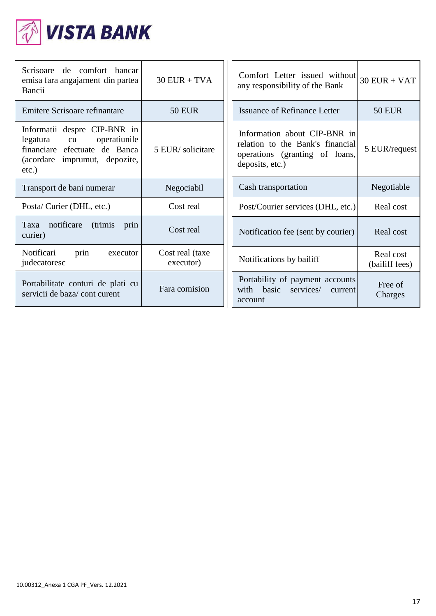

| Scrisoare de comfort bancar<br>emisa fara angajament din partea<br>Bancii                                                                    | $30$ EUR + TVA               | Comfort Letter issued without<br>any responsibility of the Bank                                                       | $30$ EUR + VAT              |
|----------------------------------------------------------------------------------------------------------------------------------------------|------------------------------|-----------------------------------------------------------------------------------------------------------------------|-----------------------------|
| Emitere Scrisoare refinantare                                                                                                                | <b>50 EUR</b>                | <b>Issuance of Refinance Letter</b>                                                                                   | <b>50 EUR</b>               |
| Informatii despre CIP-BNR in<br>operatiunile<br>legatura<br>cu<br>financiare efectuate de Banca<br>(acordare imprumut, depozite,<br>$etc.$ ) | 5 EUR/solicitare             | Information about CIP-BNR in<br>relation to the Bank's financial<br>operations (granting of loans,<br>deposits, etc.) | 5 EUR/request               |
| Transport de bani numerar                                                                                                                    | Negociabil                   | Cash transportation                                                                                                   | Negotiable                  |
| Posta/ Curier (DHL, etc.)                                                                                                                    | Cost real                    | Post/Courier services (DHL, etc.)                                                                                     | Real cost                   |
| notificare<br>(trimis)<br>Taxa<br>prin<br>curier)                                                                                            | Cost real                    | Notification fee (sent by courier)                                                                                    | Real cost                   |
| Notificari<br>prin<br>executor<br>judecatoresc                                                                                               | Cost real (taxe<br>executor) | Notifications by bailiff                                                                                              | Real cost<br>(bailiff fees) |
| Portabilitate conturi de plati cu<br>servicii de baza/cont curent                                                                            | Fara comision                | Portability of payment accounts<br>with basic<br>services/<br>current<br>account                                      | Free of<br>Charges          |